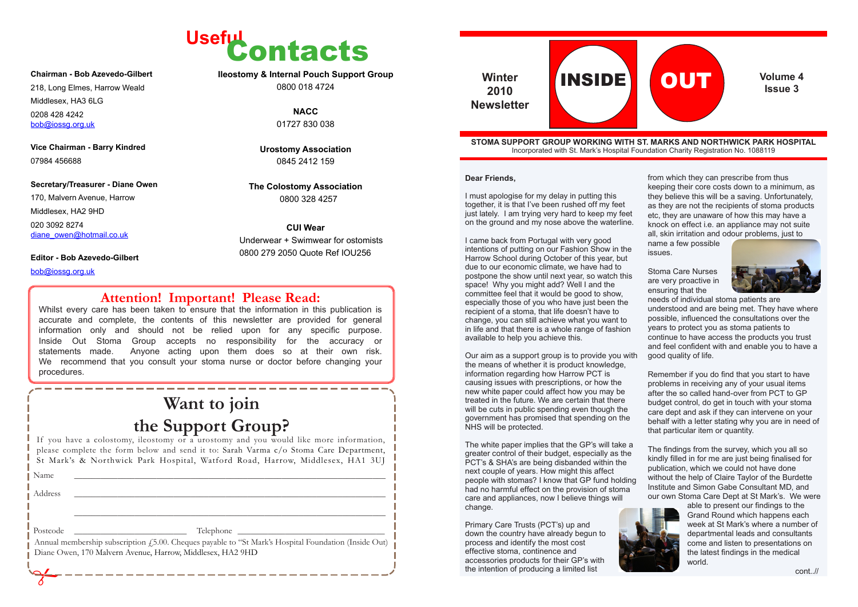from which they can prescribe from thus keeping their core costs down to a minimum, as they believe this will be a saving. Unfortunately, as they are not the recipients of stoma products etc, they are unaware of how this may have a knock on effect i.e. an appliance may not suite all, skin irritation and odour problems, just to name a few possible

issues.

Stoma Care Nurses are very proactive in ensuring that the



needs of individual stoma patients are understood and are being met. They have where possible, influenced the consultations over the years to protect you as stoma patients to continue to have access the products you trust and feel confident with and enable you to have a good quality of life.

Remember if you do find that you start to have problems in receiving any of your usual items after the so called hand-over from PCT to GP budget control, do get in touch with your stoma care dept and ask if they can intervene on your behalf with a letter stating why you are in need of that particular item or quantity.



170, Malvern Avenue, Harrow Middlesex, HA2 9HD 020 3092 8274 diane\_owen@hotmail.co.uk

> The findings from the survey, which you all so kindly filled in for me are just being finalised for publication, which we could not have done without the help of Claire Taylor of the Burdette Institute and Simon Gabe Consultant MD, and our own Stoma Care Dept at St Mark's. We were



able to present our findings to the Grand Round which happens each week at St Mark's where a number of departmental leads and consultants come and listen to presentations on the latest findings in the medical world.

cont..//



#### **STOMA SUPPORT GROUP WORKING WITH ST. MARKS AND NORTHWICK PARK HOSPITAL** Incorporated with St. Mark's Hospital Foundation Charity Registration No. 1088119



**2010 Newsletter**

Whilst every care has been taken to ensure that the information in this publication is accurate and complete, the contents of this newsletter are provided for general information only and should not be relied upon for any specific purpose. Inside Out Stoma Group accepts no responsibility for the accuracy or statements made. Anyone acting upon them does so at their own risk. We recommend that you consult your stoma nurse or doctor before changing your procedures.

#### **Chairman - Bob Azevedo-Gilbert**

218, Long Elmes, Harrow Weald

Middlesex, HA3 6LG

0208 428 4242 bob@iossg.org.uk

**Vice Chairman - Barry Kindred** 07984 456688

#### **Secretary/Treasurer - Diane Owen**

#### **Editor - Bob Azevedo-Gilbert**

bob@iossg.org.uk

**Ileostomy & Internal Pouch Support Group** 0800 018 4724

> **NACC** 01727 830 038

**Urostomy Association** 0845 2412 159

**The Colostomy Association** 0800 328 4257

#### **CUI Wear**

Underwear + Swimwear for ostomists 0800 279 2050 Quote Ref IOU256

## **Want to join the Support Group?**

The white paper implies that the GP's will take a greater control of their budget, especially as the PCT's & SHA's are being disbanded within the next couple of years. How might this affect people with stomas? I know that GP fund holding had no harmful effect on the provision of stoma care and appliances, now I believe things will change.

If you have a colostomy, ileostomy or a urostomy and you would like more information, please complete the form below and send it to: Sarah Varma c/o Stoma Care Department, St Mark's & Northwick Park Hospital, Watford Road, Harrow, Middlesex, HA1 3UJ

Name \_\_\_\_\_\_\_\_\_\_\_\_\_\_\_\_\_\_\_\_\_\_\_\_\_\_\_\_\_\_\_\_\_\_\_\_\_\_\_\_\_\_\_\_\_\_\_\_\_\_\_\_\_\_\_\_\_\_\_\_\_\_\_\_\_\_\_\_\_\_\_\_

 Diane Owen, 170 Malvern Avenue, Harrow, Middlesex, HA2 9HD Annual membership subscription £5.00. Cheques payable to "St Mark's Hospital Foundation (Inside Out)

Address \_\_\_\_\_\_\_\_\_\_\_\_\_\_\_\_\_\_\_\_\_\_\_\_\_\_\_\_\_\_\_\_\_\_\_\_\_\_\_\_\_\_\_\_\_\_\_\_\_\_\_\_\_\_\_\_\_\_\_\_\_\_\_\_\_\_\_\_\_\_\_\_

\_\_\_\_\_\_\_\_\_\_\_\_\_\_\_\_\_\_\_\_\_\_\_\_\_\_\_\_\_\_\_\_\_\_\_\_\_\_\_\_\_\_\_\_\_\_\_\_\_\_\_\_\_\_\_\_\_\_\_\_\_\_\_\_\_\_\_\_\_\_\_\_

Postcode \_\_\_\_\_\_\_\_\_\_\_\_\_\_\_\_\_\_\_\_\_\_\_\_\_\_ Telephone \_\_\_\_\_\_\_\_\_\_\_\_\_\_\_\_\_\_\_\_\_\_\_\_\_\_\_\_\_\_\_\_\_\_

### **Attention! Important! Please Read:**

**Dear Friends,**

I must apologise for my delay in putting this together, it is that I've been rushed off my feet just lately. I am trying very hard to keep my feet on the ground and my nose above the waterline.

I came back from Portugal with very good intentions of putting on our Fashion Show in the Harrow School during October of this year, but due to our economic climate, we have had to postpone the show until next year, so watch this space! Why you might add? Well I and the committee feel that it would be good to show, especially those of you who have just been the recipient of a stoma, that life doesn't have to change, you can still achieve what you want to in life and that there is a whole range of fashion available to help you achieve this.

Our aim as a support group is to provide you with the means of whether it is product knowledge, information regarding how Harrow PCT is causing issues with prescriptions, or how the new white paper could affect how you may be treated in the future. We are certain that there will be cuts in public spending even though the government has promised that spending on the NHS will be protected.

Primary Care Trusts (PCT's) up and down the country have already begun to process and identify the most cost effective stoma, continence and accessories products for their GP's with the intention of producing a limited list

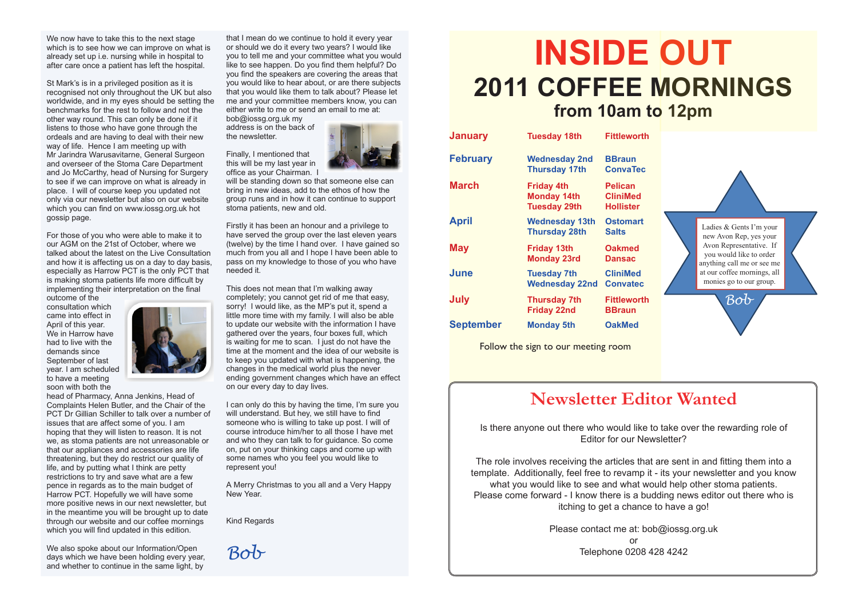that I mean do we continue to hold it every year or should we do it every two years? I would like you to tell me and your committee what you would like to see happen. Do you find them helpful? Do you find the speakers are covering the areas that you would like to hear about, or are there subjects that you would like them to talk about? Please let me and your committee members know, you can either write to me or send an email to me at:

bob@iossg.org.uk my address is on the back of the newsletter.

Finally, I mentioned that this will be my last year in office as your Chairman. I



will be standing down so that someone else can bring in new ideas, add to the ethos of how the group runs and in how it can continue to support stoma patients, new and old.

Firstly it has been an honour and a privilege to have served the group over the last eleven years (twelve) by the time I hand over. I have gained so much from you all and I hope I have been able to pass on my knowledge to those of you who have needed it.

This does not mean that I'm walking away completely; you cannot get rid of me that easy, sorry! I would like, as the MP's put it, spend a little more time with my family. I will also be able to update our website with the information I have gathered over the years, four boxes full, which is waiting for me to scan. I just do not have the time at the moment and the idea of our website is to keep you updated with what is happening, the changes in the medical world plus the never ending government changes which have an effect on our every day to day lives.

I can only do this by having the time, I'm sure you will understand. But hey, we still have to find someone who is willing to take up post. I will of course introduce him/her to all those I have met and who they can talk to for guidance. So come on, put on your thinking caps and come up with some names who you feel you would like to represent you!

A Merry Christmas to you all and a Very Happy New Year.

Kind Regards

*Bob*

We now have to take this to the next stage which is to see how we can improve on what is already set up i.e. nursing while in hospital to after care once a patient has left the hospital.

We also spoke about our Information/Open days which we have been holding every year, and whether to continue in the same light, by

St Mark's is in a privileged position as it is recognised not only throughout the UK but also worldwide, and in my eyes should be setting the benchmarks for the rest to follow and not the other way round. This can only be done if it listens to those who have gone through the ordeals and are having to deal with their new way of life. Hence I am meeting up with Mr Jarindra Warusavitarne, General Surgeon and overseer of the Stoma Care Department and Jo McCarthy, head of Nursing for Surgery to see if we can improve on what is already in place. I will of course keep you updated not only via our newsletter but also on our website which you can find on www.iossg.org.uk hot gossip page.

For those of you who were able to make it to our AGM on the 21st of October, where we talked about the latest on the Live Consultation and how it is affecting us on a day to day basis, especially as Harrow PCT is the only PCT that is making stoma patients life more difficult by implementing their interpretation on the final

outcome of the consultation which came into effect in April of this year. We in Harrow have had to live with the demands since September of last year. I am scheduled to have a meeting soon with both the



head of Pharmacy, Anna Jenkins, Head of Complaints Helen Butler, and the Chair of the PCT Dr Gillian Schiller to talk over a number of issues that are affect some of you. I am hoping that they will listen to reason. It is not we, as stoma patients are not unreasonable or that our appliances and accessories are life threatening, but they do restrict our quality of life, and by putting what I think are petty restrictions to try and save what are a few pence in regards as to the main budget of Harrow PCT. Hopefully we will have some more positive news in our next newsletter, but in the meantime you will be brought up to date through our website and our coffee mornings which you will find updated in this edition.

# **INSIDE OUT 2011 COFFEE MORNINGS from 10am to 12pm**

Follow the sign to our meeting room

| <b>January</b>   | <b>Tuesday 18th</b>                                            | <b>Fittleworth</b>                                    |
|------------------|----------------------------------------------------------------|-------------------------------------------------------|
| <b>February</b>  | <b>Wednesday 2nd</b><br><b>Thursday 17th</b>                   | <b>BBraun</b><br><b>ConvaTec</b>                      |
| <b>March</b>     | <b>Friday 4th</b><br><b>Monday 14th</b><br><b>Tuesday 29th</b> | <b>Pelican</b><br><b>CliniMed</b><br><b>Hollister</b> |
| <b>April</b>     | <b>Wednesday 13th</b><br><b>Thursday 28th</b>                  | <b>Ostomart</b><br><b>Salts</b>                       |
| <b>May</b>       | <b>Friday 13th</b><br><b>Monday 23rd</b>                       | <b>Oakmed</b><br>Dansac                               |
| <b>June</b>      | <b>Tuesday 7th</b><br><b>Wednesday 22nd</b>                    | <b>CliniMed</b><br><b>Convatec</b>                    |
| July             | <b>Thursday 7th</b><br><b>Friday 22nd</b>                      | <b>Fittleworth</b><br><b>BBraun</b>                   |
| <b>September</b> | <b>Monday 5th</b>                                              | <b>OakMed</b>                                         |
|                  |                                                                |                                                       |

## **Newsletter Editor Wanted**

Is there anyone out there who would like to take over the rewarding role of Editor for our Newsletter?

The role involves receiving the articles that are sent in and fitting them into a template. Additionally, feel free to revamp it - its your newsletter and you know what you would like to see and what would help other stoma patients. Please come forward - I know there is a budding news editor out there who is itching to get a chance to have a go!

> Please contact me at: bob@iossg.org.uk or Telephone 0208 428 4242



 $\frac{1}{2}$  at our correct morning monies go to our group.

*Bob*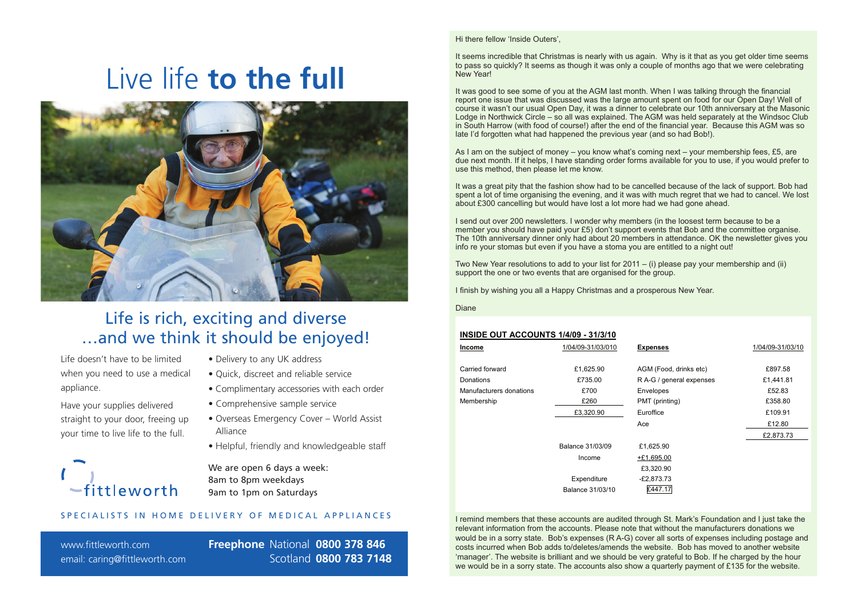Hi there fellow 'Inside Outers',

It seems incredible that Christmas is nearly with us again. Why is it that as you get older time seems to pass so quickly? It seems as though it was only a couple of months ago that we were celebrating New Year!

As I am on the subject of money – you know what's coming next – your membership fees, £5, are due next month. If it helps, I have standing order forms available for you to use, if you would prefer to use this method, then please let me know.

It was good to see some of you at the AGM last month. When I was talking through the financial report one issue that was discussed was the large amount spent on food for our Open Day! Well of course it wasn't our usual Open Day, it was a dinner to celebrate our 10th anniversary at the Masonic Lodge in Northwick Circle – so all was explained. The AGM was held separately at the Windsoc Club in South Harrow (with food of course!) after the end of the financial year. Because this AGM was so late I'd forgotten what had happened the previous year (and so had Bob!).

It was a great pity that the fashion show had to be cancelled because of the lack of support. Bob had spent a lot of time organising the evening, and it was with much regret that we had to cancel. We lost about £300 cancelling but would have lost a lot more had we had gone ahead.

I send out over 200 newsletters. I wonder why members (in the loosest term because to be a member you should have paid your £5) don't support events that Bob and the committee organise. The 10th anniversary dinner only had about 20 members in attendance. OK the newsletter gives you info re your stomas but even if you have a stoma you are entitled to a night out!

Two New Year resolutions to add to your list for 2011 – (i) please pay your membership and (ii) support the one or two events that are organised for the group.

I finish by wishing you all a Happy Christmas and a prosperous New Year.

Diane

#### **INSIDE OUT ACCOUNTS 1/4/09 - 31/3/10**

| <b>Income</b>           | 1/04/09-31/03/010 | <b>Expenses</b>          | 1/04/09-31/03/10 |
|-------------------------|-------------------|--------------------------|------------------|
| Carried forward         | £1,625.90         | AGM (Food, drinks etc)   | £897.58          |
| Donations               | £735.00           | R A-G / general expenses | £1,441.81        |
| Manufacturers donations | £700              | Envelopes                | £52.83           |
| Membership              | £260              | PMT (printing)           | £358.80          |
|                         | £3,320.90         | Euroffice                | £109.91          |
|                         |                   | Ace                      | £12.80           |
|                         |                   |                          | £2,873.73        |
|                         | Balance 31/03/09  | £1,625.90                |                  |
|                         | Income            | $+£1,695.00$             |                  |
|                         |                   | £3,320.90                |                  |
|                         | Expenditure       | $-E2,873.73$             |                  |
|                         | Balance 31/03/10  | £447.17                  |                  |

I remind members that these accounts are audited through St. Mark's Foundation and I just take the relevant information from the accounts. Please note that without the manufacturers donations we would be in a sorry state. Bob's expenses (R A-G) cover all sorts of expenses including postage and costs incurred when Bob adds to/deletes/amends the website. Bob has moved to another website 'manager'. The website is brilliant and we should be very grateful to Bob. If he charged by the hour we would be in a sorry state. The accounts also show a quarterly payment of £135 for the website.

www.fittleworth.com email: caring@fittleworth.com

# Live life **to the full**



#### SPECIALISTS IN HOME DELIVERY OF MEDICAL APPLIANCES

- Delivery to any UK address
- Quick, discreet and reliable service
- Complimentary accessories with each order
- Comprehensive sample service
- Overseas Emergency Cover World Assist Alliance
- Helpful, friendly and knowledgeable staff

We are open 6 days a week: 8am to 8pm weekdays 9am to 1pm on Saturdays

**Freephone** National **0800 378 846**  Scotland **0800 783 7148**

Life doesn't have to be limited when you need to use a medical appliance.

Have your supplies delivered straight to your door, freeing up your time to live life to the full.



## Life is rich, exciting and diverse …and we think it should be enjoyed!